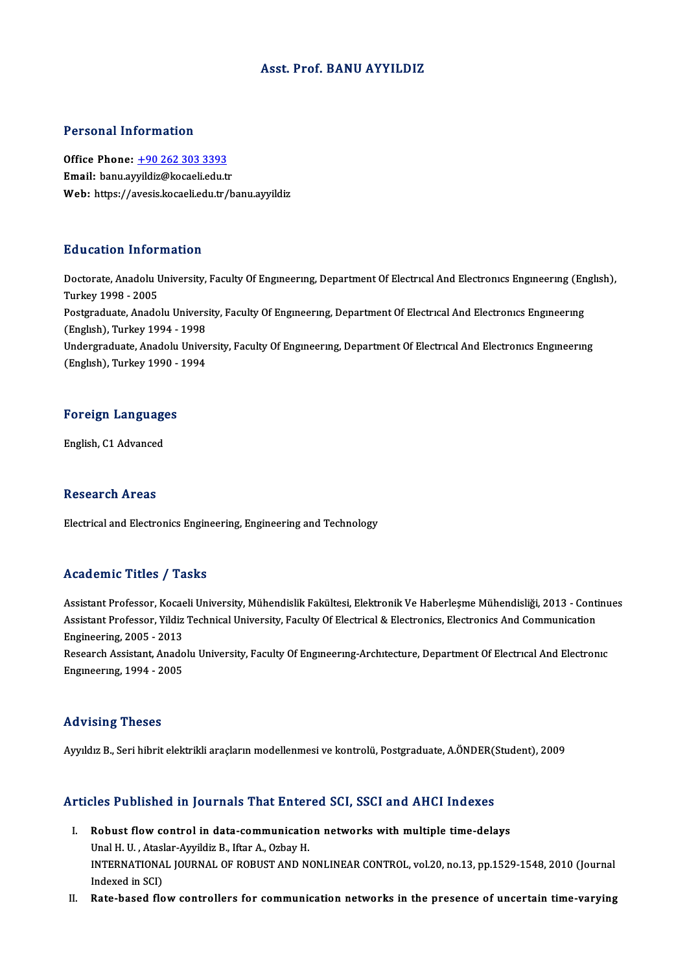## Asst. Prof. BANU AYYILDIZ

### Personal Information

Personal Information<br>Office Phone: <u>+90 262 303 3393</u><br>Email: bany awildig@kagaaliady.tr Fersonar micrimation<br>Office Phone: <u>+90 262 303 3393</u><br>Email: banu.ay[yildiz@kocaeli.edu.t](tel:+90 262 303 3393)r<br>Web: https://ayesis.locaeli.edu.tr/h Email: banu.ayyildiz@kocaeli.edu.tr<br>Web: https://avesis.kocaeli.edu.tr/banu.ayyildiz

### Education Information

Education Information<br>Doctorate, Anadolu University, Faculty Of Engıneerıng, Department Of Electrıcal And Electronics Engineering (English),<br>Turkey 1998–2005 Turkey1998 -2005 Doctorate, Anadolu University, Faculty Of Engineering, Department Of Electrical And Electronics Engineering (En<br>Turkey 1998 - 2005<br>Postgraduate, Anadolu University, Faculty Of Engineering, Department Of Electrical And Elec Postgraduate, Anadolu University, Faculty Of Engineering, Department Of Electrical And Electronics Engineering<br>(English), Turkey 1994 - 1998 Postgraduate, Anadolu University, Faculty Of Engıneering, Department Of Electrical And Electronics Engineering<br>(English), Turkey 1994 - 1998<br>Undergraduate, Anadolu University, Faculty Of Engineering, Department Of Electric (Englısh), Turkey 1994 - 1998<br>Undergraduate, Anadolu Unive<br>(Englısh), Turkey 1990 - 1994

# English), Turkey 1990 -<br>Foreign Languages <mark>Foreign Languag</mark><br>English, C1 Advanced

English, C1 Advanced<br>Research Areas

Electrical and Electronics Engineering, Engineering and Technology

## Academic Titles / Tasks

Assistant Professor, Kocaeli University, Mühendislik Fakültesi, Elektronik Ve Haberleşme Mühendisliği, 2013 - Continues Assistant Professor, Kocaeli University, Mühendislik Fakültesi, Elektronik Ve Haberleşme Mühendisliği, 2013 - Conti<br>Assistant Professor, Yildiz Technical University, Faculty Of Electrical & Electronics, Electronics And Com Assistant Professor, Kocae<br>Assistant Professor, Yildiz<br>Engineering, 2005 - 2013<br>Besearsh Assistant, Anada Assistant Professor, Yildiz Technical University, Faculty Of Electrical & Electronics, Electronics And Communication<br>Engineering, 2005 - 2013<br>Research Assistant, Anadolu University, Faculty Of Engineering-Architecture, Dep Engineering, 2005 - 2013<br>Research Assistant, Anadolu University, Faculty Of Engineering-Architecture, Department Of Electrical And Electronic<br>Engineering, 1994 - 2005

#### Advising Theses

Ayyıldız B., Seri hibrit elektrikli araçların modellenmesi ve kontrolü, Postgraduate, A.ÖNDER(Student), 2009

# Ayyıldız B., Seri hibrit elektrikli araçların modellenmesi ve kontrolu, Postgraduate, A.ONDER(3<br>Articles Published in Journals That Entered SCI, SSCI and AHCI Indexes

- rticles Published in Journals That Entered SCI, SSCI and AHCI Indexes<br>I. Robust flow control in data-communication networks with multiple time-delays<br>Unal H. L. Ataslar Aurildia B. Ifter A. Orboy H. I. Robust flow control in data-communication networks with multiple time-delays Unal H.U., Ataslar-Ayyildiz B., Iftar A., Ozbay H. Robust flow control in data-communication networks with multiple time-delays<br>Unal H. U. , Ataslar-Ayyildiz B., Iftar A., Ozbay H.<br>INTERNATIONAL JOURNAL OF ROBUST AND NONLINEAR CONTROL, vol.20, no.13, pp.1529-1548, 2010 (Jo Indexed in SCI)<br>Rate-based flow controllers for communication networks in the presence of uncertain time-varying INTERNATIONAL JOURNAL OF ROBUST AND NONLINEAR CONTROL, vol.20, no.13, pp.1529-1548, 2010 (Journal<br>Indexed in SCI)<br>II. Rate-based flow controllers for communication networks in the presence of uncertain time-varying
-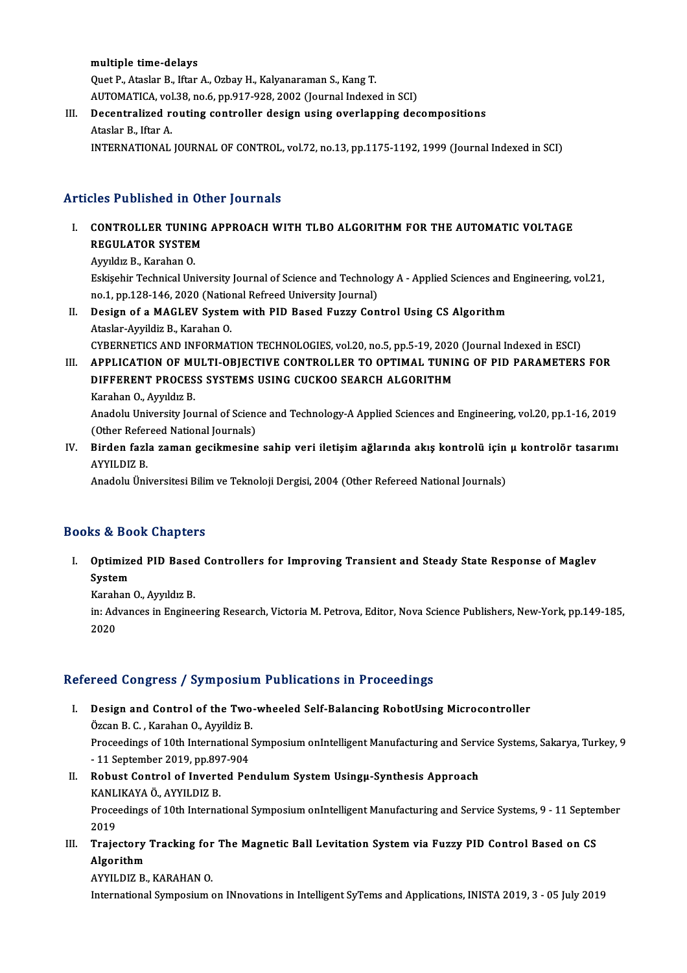multiple time-delays Quet P., Ataslar B., Iftar A., Ozbay H., Kalyanaraman S., Kang T. AUTOMATICA, vol.38, no.6, pp.917-928, 2002 (Journal Indexed in SCI) Quet P., Ataslar B., Iftar A., Ozbay H., Kalyanaraman S., Kang T.<br>AUTOMATICA, vol.38, no.6, pp.917-928, 2002 (Journal Indexed in SCI)<br>III. Decentralized routing controller design using overlapping decompositions<br>Ataslar B.

# AUTOMATICA, vol<br><mark>Decentralized r</mark><br>Ataslar B., Iftar A.<br>INTERNATIONAL Ataslar B., Iftar A.<br>INTERNATIONAL JOURNAL OF CONTROL, vol.72, no.13, pp.1175-1192, 1999 (Journal Indexed in SCI)

## Articles Published in Other Journals

Tuicles Published in Other Journals<br>I. CONTROLLER TUNING APPROACH WITH TLBO ALGORITHM FOR THE AUTOMATIC VOLTAGE REGULATOR SYSTEM<br>REGULATOR SYSTEM<br>Aughlig B. Karaban Q CONTROLLER TUNIN<br>REGULATOR SYSTEM<br>Ayyıldız B., Karahan O.<br>Eskisobir Teshnisal Un

REGULATOR SYSTEM<br>Ayyıldız B., Karahan O.<br>Eskişehir Technical University Journal of Science and Technology A - Applied Sciences and Engineering, vol.21,<br>no.1, np.129,146,2020 (National Befreed University Journal). Ayyıldız B., Karahan O.<br>Eskişehir Technical University Journal of Science and Technolo<br>no.1, pp.128-146, 2020 (National Refreed University Journal)<br>Design of a MACLEV System with PID Based Euggy Con no.1, pp.128-146, 2020 (National Refreed University Journal)<br>II. Design of a MAGLEV System with PID Based Fuzzy Control Using CS Algorithm

Ataslar-Ayyildiz B., Karahan O. Design of a MAGLEV System with PID Based Fuzzy Control Using CS Algorithm<br>Ataslar-Ayyildiz B., Karahan O.<br>CYBERNETICS AND INFORMATION TECHNOLOGIES, vol.20, no.5, pp.5-19, 2020 (Journal Indexed in ESCI)<br>APPLICATION OF MILLT Ataslar-Ayyildiz B., Karahan O.<br>CYBERNETICS AND INFORMATION TECHNOLOGIES, vol.20, no.5, pp.5-19, 2020 (Journal Indexed in ESCI)<br>III. APPLICATION OF MULTI-OBJECTIVE CONTROLLER TO OPTIMAL TUNING OF PID PARAMETERS FOR

# CYBERNETICS AND INFORMATION TECHNOLOGIES, vol.20, no.5, pp.5-19, 2020<br>APPLICATION OF MULTI-OBJECTIVE CONTROLLER TO OPTIMAL TUNII<br>DIFFERENT PROCESS SYSTEMS USING CUCKOO SEARCH ALGORITHM<br>Karaban O. Ayrıldız P III. APPLICATION OF MULTI-OBJECTIVE CONTROLLER TO OPTIMAL TUNING OF PID PARAMETERS FOR<br>DIFFERENT PROCESS SYSTEMS USING CUCKOO SEARCH ALGORITHM<br>Karahan O., Ayyıldız B.

Anadolu University Journal of Science and Technology-A Applied Sciences and Engineering, vol.20, pp.1-16, 2019 (Other Refereed National Journals) IV. Birden fazla zaman gecikmesine sahip veri iletişim ağlarında akış kontrolü için μ kontrolör tasarımı<br>IV. Birden fazla zaman gecikmesine sahip veri iletişim ağlarında akış kontrolü için μ kontrolör tasarımı<br>AVVILDIZ B

(Other Refer<br>Birden fazl<br>AYYILDIZ B. Birden fazla zaman gecikmesine sahip veri iletişim ağlarında akış kontrolü için<br>AYYILDIZ B.<br>Anadolu Üniversitesi Bilim ve Teknoloji Dergisi, 2004 (Other Refereed National Journals)

Anadolu Üniversitesi Bilim ve Teknoloji Dergisi, 2004 (Other Refereed National Journals)<br>Books & Book Chapters

ooks & Book Chapters<br>I. Optimized PID Based Controllers for Improving Transient and Steady State Response of Maglev<br>System System<br>System<br>Karaban Optimized PID Based<br>System<br>Karahan O., Ayyıldız B.<br>in: Advances in Engine

S**ystem**<br>Karahan O., Ayyıldız B.<br>in: Advances in Engineering Research, Victoria M. Petrova, Editor, Nova Science Publishers, New-York, pp.149-185, Karah<br>in: Ad<sup>,</sup><br>2020

# 2020<br>Refereed Congress / Symposium Publications in Proceedings

- I. Design and Control of the Two-wheeled Self-Balancing RobotUsing Microcontroller Design and Control of the Two-<br>Özcan B. C., Karahan O., Ayyildiz B.<br>Brossedings of 10th International S Proceedings of 10th International Symposium onIntelligent Manufacturing and Service Systems, Sakarya, Turkey, 9<br>- 11 September 2019, pp.897-904 Özcan B. C. , Karahan O., Ayyildiz B.<br>Proceedings of 10th International<br>- 11 September 2019, pp.897-904<br>Behust Control of Inverted Be Proceedings of 10th International Symposium onIntelligent Manufacturing and Serv<br>11 September 2019, pp.897-904<br>II. Robust Control of Inverted Pendulum System Usingµ-Synthesis Approach<br>KANLIKAYA ÖANVU DIZ P
- 11 September 2019, pp.89<br>Robust Control of Invert<br>KANLIKAYA Ö., AYYILDIZ B.<br>Preseedings of 10th Interna Proceedings of 10th International Symposium onIntelligent Manufacturing and Service Systems, 9 - 11 September<br>2019 KANLIKAYA Ö., AYYILDIZ B. Proceedings of 10th International Symposium onIntelligent Manufacturing and Service Systems, 9 - 11 Septer<br>2019<br>III. Trajectory Tracking for The Magnetic Ball Levitation System via Fuzzy PID Control Based on CS

# 2019<br>Trajectory<br>Algorithm<br>AVVII DIZ B Trajectory Tracking for<br>Algorithm<br>AYYILDIZ B., KARAHAN 0.<br>International Sumnesium ( Algorithm<br>AYYILDIZ B., KARAHAN O.<br>International Symposium on INnovations in Intelligent SyTems and Applications, INISTA 2019, 3 - 05 July 2019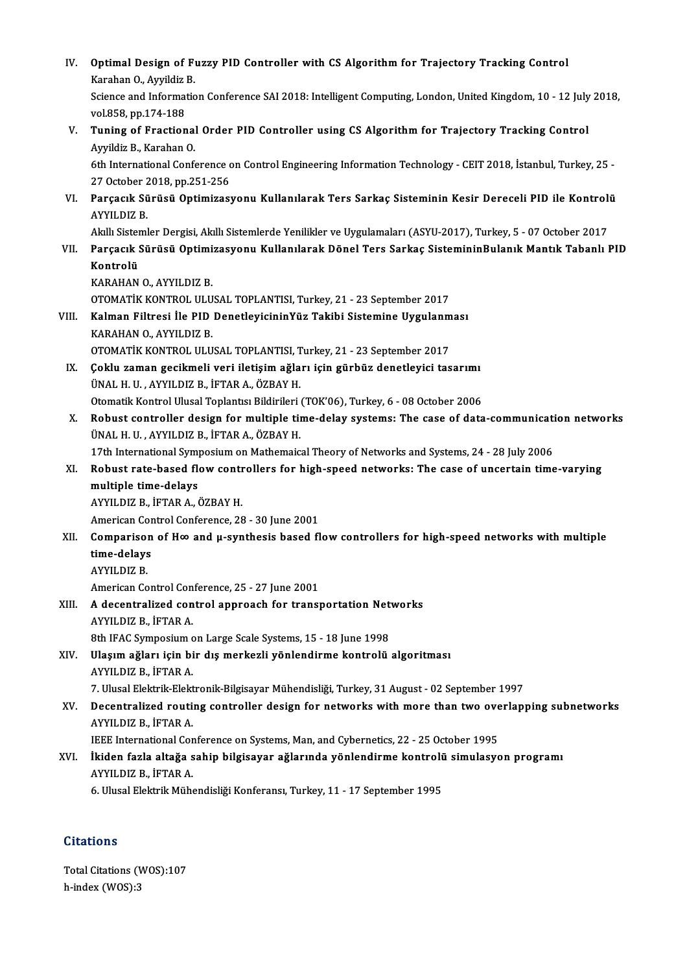| IV.   | Optimal Design of Fuzzy PID Controller with CS Algorithm for Trajectory Tracking Control<br>Karahan O., Ayyildiz B.                                                                                                   |
|-------|-----------------------------------------------------------------------------------------------------------------------------------------------------------------------------------------------------------------------|
|       | Science and Information Conference SAI 2018: Intelligent Computing, London, United Kingdom, 10 - 12 July 2018,<br>vol 858, pp 174-188                                                                                 |
| V.    | Tuning of Fractional Order PID Controller using CS Algorithm for Trajectory Tracking Control<br>Ayyildiz B., Karahan O.                                                                                               |
|       | 6th International Conference on Control Engineering Information Technology - CEIT 2018, İstanbul, Turkey, 25 -<br>27 October 2018, pp.251-256                                                                         |
| VI.   | Parçacık Sürüsü Optimizasyonu Kullanılarak Ters Sarkaç Sisteminin Kesir Dereceli PID ile Kontrolü<br><b>AYYILDIZ B.</b>                                                                                               |
| VII.  | Akıllı Sistemler Dergisi, Akıllı Sistemlerde Yenilikler ve Uygulamaları (ASYU-2017), Turkey, 5 - 07 October 2017<br>Parçacık Sürüsü Optimizasyonu Kullanılarak Dönel Ters Sarkaç SistemininBulanık Mantık Tabanlı PID |
|       | Kontrolü                                                                                                                                                                                                              |
|       | KARAHAN O, AYYILDIZ B.<br>OTOMATIK KONTROL ULUSAL TOPLANTISI, Turkey, 21 - 23 September 2017                                                                                                                          |
| VIII. | Kalman Filtresi İle PID DenetleyicininYüz Takibi Sistemine Uygulanması                                                                                                                                                |
|       | KARAHAN O, AYYILDIZ B.                                                                                                                                                                                                |
|       | OTOMATIK KONTROL ULUSAL TOPLANTISI, Turkey, 21 - 23 September 2017                                                                                                                                                    |
| IX.   | Çoklu zaman gecikmeli veri iletişim ağları için gürbüz denetleyici tasarımı                                                                                                                                           |
|       | ÜNAL H. U., AYYILDIZ B., İFTAR A., ÖZBAY H.                                                                                                                                                                           |
|       | Otomatik Kontrol Ulusal Toplantısı Bildirileri (TOK'06), Turkey, 6 - 08 October 2006                                                                                                                                  |
| Х.    | Robust controller design for multiple time-delay systems: The case of data-communication networks                                                                                                                     |
|       | ÜNAL H. U., AYYILDIZ B., İFTAR A., ÖZBAY H.                                                                                                                                                                           |
|       | 17th International Symposium on Mathemaical Theory of Networks and Systems, 24 - 28 July 2006                                                                                                                         |
| XI.   | Robust rate-based flow controllers for high-speed networks: The case of uncertain time-varying                                                                                                                        |
|       | multiple time-delays                                                                                                                                                                                                  |
|       | AYYILDIZ B., İFTAR A., ÖZBAY H.                                                                                                                                                                                       |
|       | American Control Conference, 28 - 30 June 2001                                                                                                                                                                        |
| XII.  | Comparison of $H\infty$ and $\mu$ -synthesis based flow controllers for high-speed networks with multiple                                                                                                             |
|       | time-delays<br><b>AYYILDIZ B.</b>                                                                                                                                                                                     |
|       | American Control Conference, 25 - 27 June 2001                                                                                                                                                                        |
| XIII. | A decentralized control approach for transportation Networks                                                                                                                                                          |
|       | AYYILDIZ B., İFTAR A.                                                                                                                                                                                                 |
|       | 8th IFAC Symposium on Large Scale Systems, 15 - 18 June 1998                                                                                                                                                          |
| XIV.  | Ulaşım ağları için bir dış merkezli yönlendirme kontrolü algoritması<br>AYYILDIZ B., İFTAR A.                                                                                                                         |
|       | 7. Ulusal Elektrik-Elektronik-Bilgisayar Mühendisliği, Turkey, 31 August - 02 September 1997                                                                                                                          |
| XV.   | Decentralized routing controller design for networks with more than two overlapping subnetworks<br>AYYILDIZ B, İFTAR A                                                                                                |
|       | IEEE International Conference on Systems, Man, and Cybernetics, 22 - 25 October 1995                                                                                                                                  |
| XVI.  | İkiden fazla altağa sahip bilgisayar ağlarında yönlendirme kontrolü simulasyon programı<br>AYYILDIZ B, İFTAR A                                                                                                        |
|       | 6. Ulusal Elektrik Mühendisliği Konferansı, Turkey, 11 - 17 September 1995                                                                                                                                            |

# **Citations**

Citations<br>Total Citations (WOS):107<br>b.indov (WOS):2 h-index (WOS):3